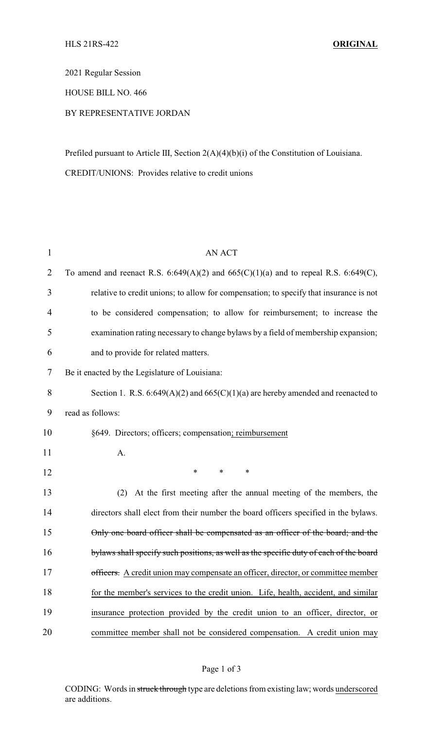2021 Regular Session

HOUSE BILL NO. 466

# BY REPRESENTATIVE JORDAN

Prefiled pursuant to Article III, Section 2(A)(4)(b)(i) of the Constitution of Louisiana. CREDIT/UNIONS: Provides relative to credit unions

| $\mathbf{1}$   | <b>AN ACT</b>                                                                          |
|----------------|----------------------------------------------------------------------------------------|
| 2              | To amend and reenact R.S. 6:649(A)(2) and 665(C)(1)(a) and to repeal R.S. 6:649(C),    |
| 3              | relative to credit unions; to allow for compensation; to specify that insurance is not |
| $\overline{4}$ | to be considered compensation; to allow for reimbursement; to increase the             |
| 5              | examination rating necessary to change bylaws by a field of membership expansion;      |
| 6              | and to provide for related matters.                                                    |
| 7              | Be it enacted by the Legislature of Louisiana:                                         |
| 8              | Section 1. R.S. $6:649(A)(2)$ and $665(C)(1)(a)$ are hereby amended and reenacted to   |
| 9              | read as follows:                                                                       |
| 10             | §649. Directors; officers; compensation; reimbursement                                 |
| 11             | A.                                                                                     |
| 12             | *<br>$\ast$<br>∗                                                                       |
| 13             | At the first meeting after the annual meeting of the members, the<br>(2)               |
| 14             | directors shall elect from their number the board officers specified in the bylaws.    |
| 15             | Only one board officer shall be compensated as an officer of the board; and the        |
| 16             | bylaws shall specify such positions, as well as the specific duty of each of the board |
| 17             | officers. A credit union may compensate an officer, director, or committee member      |
| 18             | for the member's services to the credit union. Life, health, accident, and similar     |
| 19             | insurance protection provided by the credit union to an officer, director, or          |
| 20             | committee member shall not be considered compensation. A credit union may              |

## Page 1 of 3

CODING: Words in struck through type are deletions from existing law; words underscored are additions.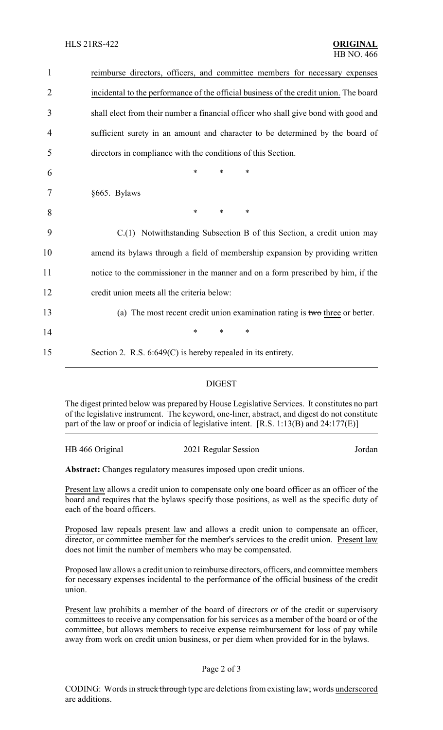| $\mathbf{1}$   | reimburse directors, officers, and committee members for necessary expenses           |
|----------------|---------------------------------------------------------------------------------------|
| $\overline{2}$ | incidental to the performance of the official business of the credit union. The board |
| 3              | shall elect from their number a financial officer who shall give bond with good and   |
| 4              | sufficient surety in an amount and character to be determined by the board of         |
| 5              | directors in compliance with the conditions of this Section.                          |
| 6              | $\ast$<br>*<br>*                                                                      |
| 7              | §665. Bylaws                                                                          |
| 8              | *<br>*<br>∗                                                                           |
| 9              | C.(1) Notwithstanding Subsection B of this Section, a credit union may                |
| 10             | amend its bylaws through a field of membership expansion by providing written         |
| 11             | notice to the commissioner in the manner and on a form prescribed by him, if the      |
| 12             | credit union meets all the criteria below:                                            |
| 13             | (a) The most recent credit union examination rating is two three or better.           |
| 14             | *<br>*<br>*                                                                           |
| 15             | Section 2. R.S. $6:649(C)$ is hereby repealed in its entirety.                        |

## DIGEST

The digest printed below was prepared by House Legislative Services. It constitutes no part of the legislative instrument. The keyword, one-liner, abstract, and digest do not constitute part of the law or proof or indicia of legislative intent. [R.S. 1:13(B) and 24:177(E)]

| HB 466 Original | 2021 Regular Session | Jordan |
|-----------------|----------------------|--------|
|                 |                      |        |

**Abstract:** Changes regulatory measures imposed upon credit unions.

Present law allows a credit union to compensate only one board officer as an officer of the board and requires that the bylaws specify those positions, as well as the specific duty of each of the board officers.

Proposed law repeals present law and allows a credit union to compensate an officer, director, or committee member for the member's services to the credit union. Present law does not limit the number of members who may be compensated.

Proposed law allows a credit union to reimburse directors, officers, and committee members for necessary expenses incidental to the performance of the official business of the credit union.

Present law prohibits a member of the board of directors or of the credit or supervisory committees to receive any compensation for his services as a member of the board or of the committee, but allows members to receive expense reimbursement for loss of pay while away from work on credit union business, or per diem when provided for in the bylaws.

## Page 2 of 3